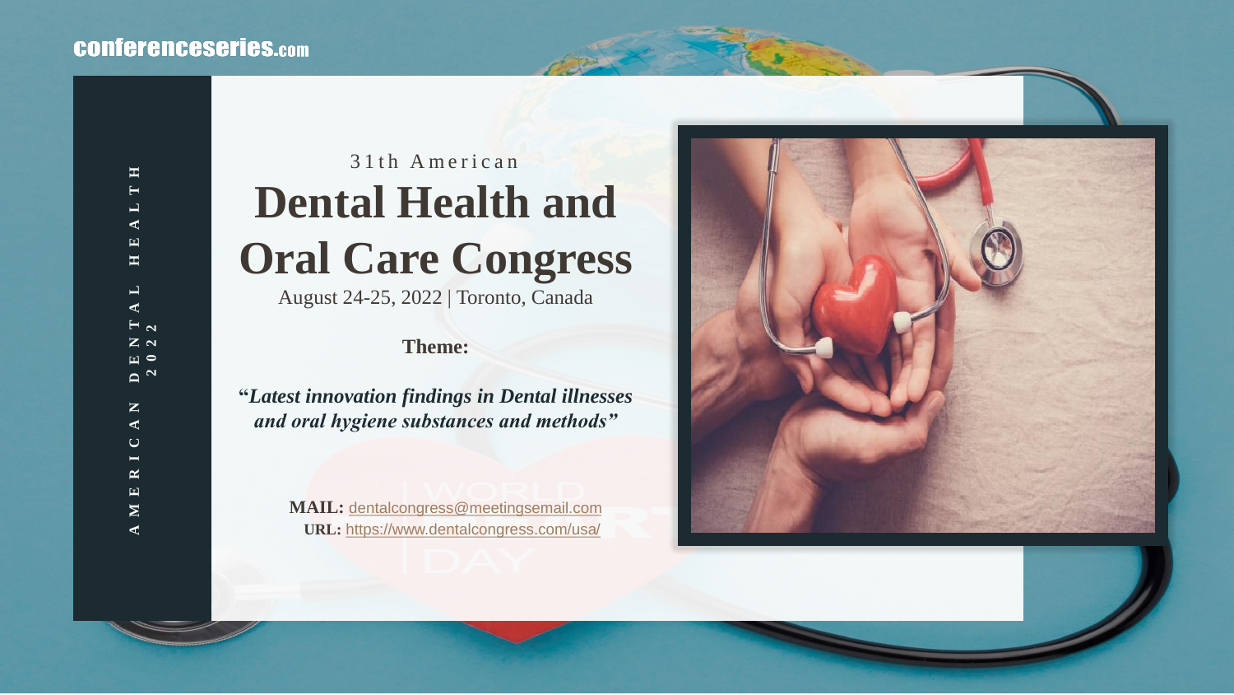### **CONferenceseries.com**

# 31<sup>th</sup> American **Dental Health and Oral Care Congress** August 24-25, 2022 | Toronto, Canada

#### **Theme:**

**"***Latest innovation findings in Dental illnesses and oral hygiene substances and methods"*

> **MAIL:** [dentalcongress@meetingsemail.com](mailto:dentalcongress@meetingsemail.com) **URL:** <https://www.dentalcongress.com/usa/>

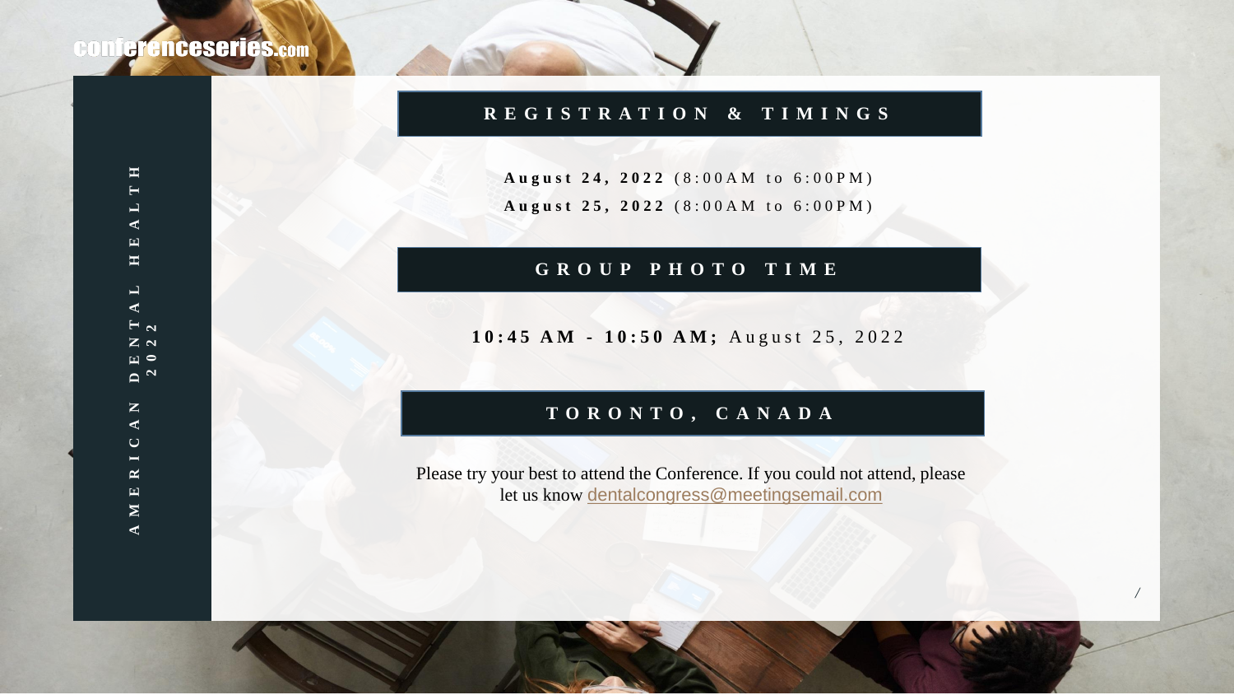#### **R E G I S T R A T I O N & T I M I N G S**

August 24, 2022 (8:00AM to 6:00PM) August 25, 2022 (8:00AM to 6:00PM)

#### **G R O U P P H O T O T I M E**

#### 10:45 AM - 10:50 AM; August 25, 2022

#### **T O R O N T O , C A N A D A**

Please try your best to attend the Conference. If you could not attend, please let us know [dentalcongress@meetingsemail.com](mailto:dentalcongress@meetingsemail.com)

*/*